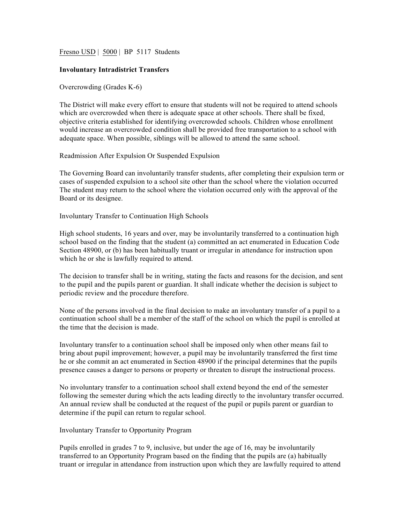Fresno USD | 5000 | BP 5117 Students

## **Involuntary Intradistrict Transfers**

Overcrowding (Grades K-6)

The District will make every effort to ensure that students will not be required to attend schools which are overcrowded when there is adequate space at other schools. There shall be fixed, objective criteria established for identifying overcrowded schools. Children whose enrollment would increase an overcrowded condition shall be provided free transportation to a school with adequate space. When possible, siblings will be allowed to attend the same school.

Readmission After Expulsion Or Suspended Expulsion

The Governing Board can involuntarily transfer students, after completing their expulsion term or cases of suspended expulsion to a school site other than the school where the violation occurred The student may return to the school where the violation occurred only with the approval of the Board or its designee.

Involuntary Transfer to Continuation High Schools

High school students, 16 years and over, may be involuntarily transferred to a continuation high school based on the finding that the student (a) committed an act enumerated in Education Code Section 48900, or (b) has been habitually truant or irregular in attendance for instruction upon which he or she is lawfully required to attend.

The decision to transfer shall be in writing, stating the facts and reasons for the decision, and sent to the pupil and the pupils parent or guardian. It shall indicate whether the decision is subject to periodic review and the procedure therefore.

None of the persons involved in the final decision to make an involuntary transfer of a pupil to a continuation school shall be a member of the staff of the school on which the pupil is enrolled at the time that the decision is made.

Involuntary transfer to a continuation school shall be imposed only when other means fail to bring about pupil improvement; however, a pupil may be involuntarily transferred the first time he or she commit an act enumerated in Section 48900 if the principal determines that the pupils presence causes a danger to persons or property or threaten to disrupt the instructional process.

No involuntary transfer to a continuation school shall extend beyond the end of the semester following the semester during which the acts leading directly to the involuntary transfer occurred. An annual review shall be conducted at the request of the pupil or pupils parent or guardian to determine if the pupil can return to regular school.

## Involuntary Transfer to Opportunity Program

Pupils enrolled in grades 7 to 9, inclusive, but under the age of 16, may be involuntarily transferred to an Opportunity Program based on the finding that the pupils are (a) habitually truant or irregular in attendance from instruction upon which they are lawfully required to attend